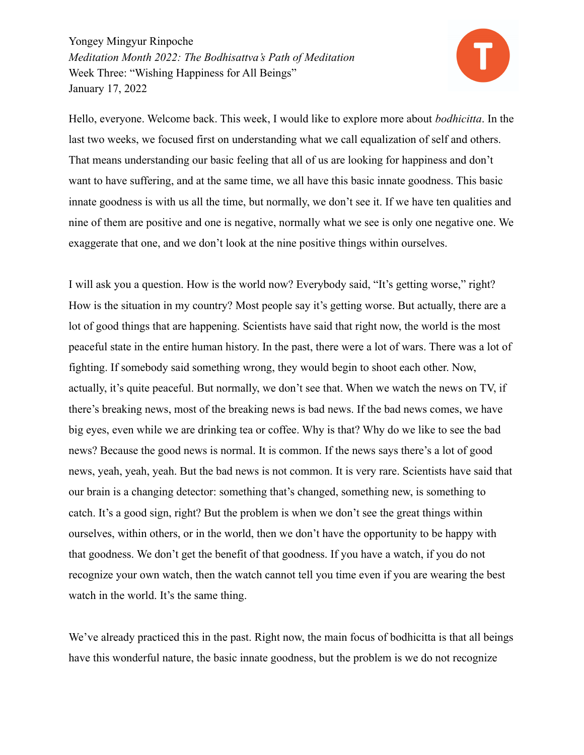

Hello, everyone. Welcome back. This week, I would like to explore more about *bodhicitta*. In the last two weeks, we focused first on understanding what we call equalization of self and others. That means understanding our basic feeling that all of us are looking for happiness and don't want to have suffering, and at the same time, we all have this basic innate goodness. This basic innate goodness is with us all the time, but normally, we don't see it. If we have ten qualities and nine of them are positive and one is negative, normally what we see is only one negative one. We exaggerate that one, and we don't look at the nine positive things within ourselves.

I will ask you a question. How is the world now? Everybody said, "It's getting worse," right? How is the situation in my country? Most people say it's getting worse. But actually, there are a lot of good things that are happening. Scientists have said that right now, the world is the most peaceful state in the entire human history. In the past, there were a lot of wars. There was a lot of fighting. If somebody said something wrong, they would begin to shoot each other. Now, actually, it's quite peaceful. But normally, we don't see that. When we watch the news on TV, if there's breaking news, most of the breaking news is bad news. If the bad news comes, we have big eyes, even while we are drinking tea or coffee. Why is that? Why do we like to see the bad news? Because the good news is normal. It is common. If the news says there's a lot of good news, yeah, yeah, yeah. But the bad news is not common. It is very rare. Scientists have said that our brain is a changing detector: something that's changed, something new, is something to catch. It's a good sign, right? But the problem is when we don't see the great things within ourselves, within others, or in the world, then we don't have the opportunity to be happy with that goodness. We don't get the benefit of that goodness. If you have a watch, if you do not recognize your own watch, then the watch cannot tell you time even if you are wearing the best watch in the world. It's the same thing.

We've already practiced this in the past. Right now, the main focus of bodhicitta is that all beings have this wonderful nature, the basic innate goodness, but the problem is we do not recognize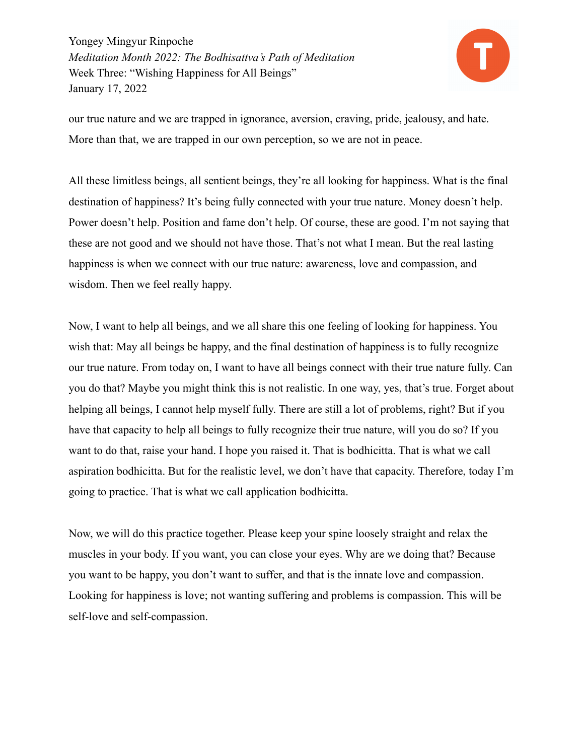

our true nature and we are trapped in ignorance, aversion, craving, pride, jealousy, and hate. More than that, we are trapped in our own perception, so we are not in peace.

All these limitless beings, all sentient beings, they're all looking for happiness. What is the final destination of happiness? It's being fully connected with your true nature. Money doesn't help. Power doesn't help. Position and fame don't help. Of course, these are good. I'm not saying that these are not good and we should not have those. That's not what I mean. But the real lasting happiness is when we connect with our true nature: awareness, love and compassion, and wisdom. Then we feel really happy.

Now, I want to help all beings, and we all share this one feeling of looking for happiness. You wish that: May all beings be happy, and the final destination of happiness is to fully recognize our true nature. From today on, I want to have all beings connect with their true nature fully. Can you do that? Maybe you might think this is not realistic. In one way, yes, that's true. Forget about helping all beings, I cannot help myself fully. There are still a lot of problems, right? But if you have that capacity to help all beings to fully recognize their true nature, will you do so? If you want to do that, raise your hand. I hope you raised it. That is bodhicitta. That is what we call aspiration bodhicitta. But for the realistic level, we don't have that capacity. Therefore, today I'm going to practice. That is what we call application bodhicitta.

Now, we will do this practice together. Please keep your spine loosely straight and relax the muscles in your body. If you want, you can close your eyes. Why are we doing that? Because you want to be happy, you don't want to suffer, and that is the innate love and compassion. Looking for happiness is love; not wanting suffering and problems is compassion. This will be self-love and self-compassion.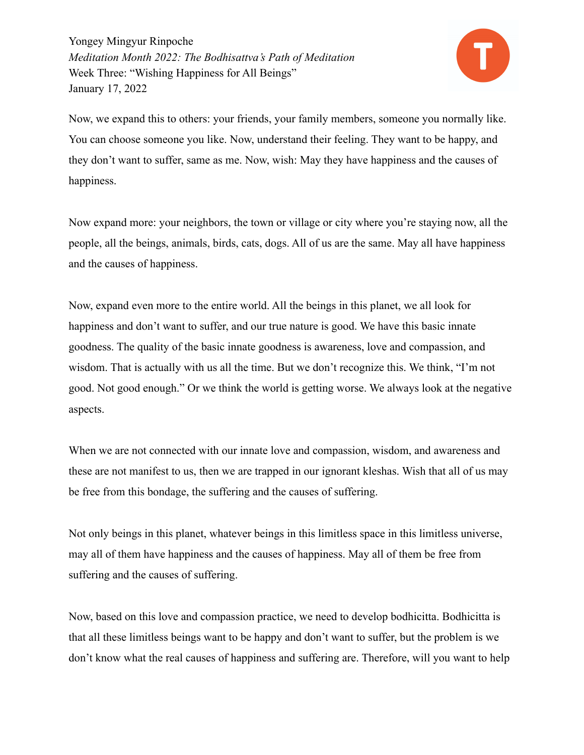

Now, we expand this to others: your friends, your family members, someone you normally like. You can choose someone you like. Now, understand their feeling. They want to be happy, and they don't want to suffer, same as me. Now, wish: May they have happiness and the causes of happiness.

Now expand more: your neighbors, the town or village or city where you're staying now, all the people, all the beings, animals, birds, cats, dogs. All of us are the same. May all have happiness and the causes of happiness.

Now, expand even more to the entire world. All the beings in this planet, we all look for happiness and don't want to suffer, and our true nature is good. We have this basic innate goodness. The quality of the basic innate goodness is awareness, love and compassion, and wisdom. That is actually with us all the time. But we don't recognize this. We think, "I'm not good. Not good enough." Or we think the world is getting worse. We always look at the negative aspects.

When we are not connected with our innate love and compassion, wisdom, and awareness and these are not manifest to us, then we are trapped in our ignorant kleshas. Wish that all of us may be free from this bondage, the suffering and the causes of suffering.

Not only beings in this planet, whatever beings in this limitless space in this limitless universe, may all of them have happiness and the causes of happiness. May all of them be free from suffering and the causes of suffering.

Now, based on this love and compassion practice, we need to develop bodhicitta. Bodhicitta is that all these limitless beings want to be happy and don't want to suffer, but the problem is we don't know what the real causes of happiness and suffering are. Therefore, will you want to help